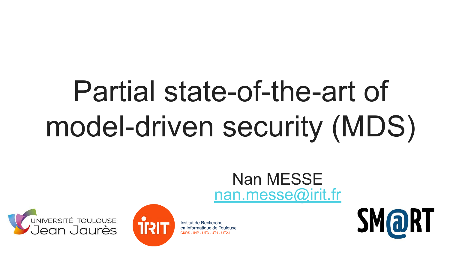# Partial state-of-the-art of model-driven security (MDS)

#### Nan MESSE [nan.messe@irit.fr](mailto:nan.messe@irit.fr)



Institut de Recherche en Informatique de Toulouse CNRS - INP - UT3 - UT1 - UT2.

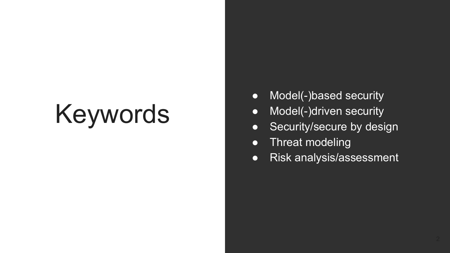## Keywords

- Model(-)based security
- Model(-)driven security
- Security/secure by design
- Threat modeling
- Risk analysis/assessment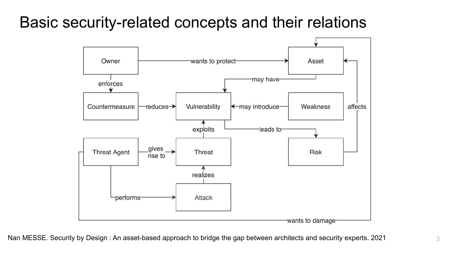#### Basic security-related concepts and their relations



Nan MESSE. Security by Design : An asset-based approach to bridge the gap between architects and security experts. 2021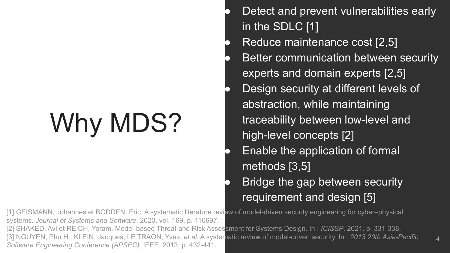# Why MDS?

Detect and prevent vulnerabilities early in the SDLC [1] Reduce maintenance cost [2,5] Better communication between security experts and domain experts [2,5] Design security at different levels of abstraction, while maintaining traceability between low-level and high-level concepts [2] **•** Enable the application of formal methods [3,5] Bridge the gap between security requirement and design [5]

[1] GEISMANN, Johannes et BODDEN, Eric. A systematic literature review of model-driven security engineering for cyber–physical systems. *Journal of Systems and Software*, 2020, vol. 169, p. 110697. [2] SHAKED, Avi et REICH, Yoram. Model-based Threat and Risk Assessment for Systems Design. In : *ICISSP*. 2021. p. 331-338. [3] NGUYEN, Phu H., KLEIN, Jacques, LE TRAON, Yves, *et al.* A systematic review of model-driven security. In : *2013 20th Asia-Pacific Software Engineering Conference (APSEC)*. IEEE, 2013. p. 432-441.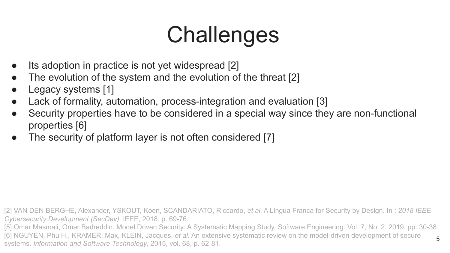### **Challenges**

- Its adoption in practice is not yet widespread [2]
- The evolution of the system and the evolution of the threat [2]
- Legacy systems [1]
- Lack of formality, automation, process-integration and evaluation [3]
- Security properties have to be considered in a special way since they are non-functional properties [6]
- The security of platform layer is not often considered [7]

[2] VAN DEN BERGHE, Alexander, YSKOUT, Koen, SCANDARIATO, Riccardo, *et al.* A Lingua Franca for Security by Design. In : *2018 IEEE Cybersecurity Development (SecDev)*. IEEE, 2018. p. 69-76.

[5] Omar Masmali, Omar Badreddin. Model Driven Security: A Systematic Mapping Study. Software Engineering. Vol. 7, No. 2, 2019, pp. 30-38. [6] NGUYEN, Phu H., KRAMER, Max, KLEIN, Jacques, *et al.* An extensive systematic review on the model-driven development of secure systems. *Information and Software Technology*, 2015, vol. 68, p. 62-81.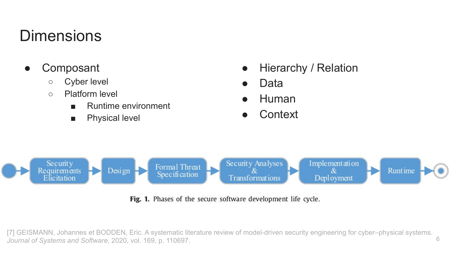#### **Dimensions**

- **Composant** 
	- Cyber level
	- Platform level
		- Runtime environment
		- Physical level
- Hierarchy / Relation
- Data
- **Human**
- **Context**



Fig. 1. Phases of the secure software development life cycle.

6 [7] GEISMANN, Johannes et BODDEN, Eric. A systematic literature review of model-driven security engineering for cyber–physical systems. *Journal of Systems and Software*, 2020, vol. 169, p. 110697.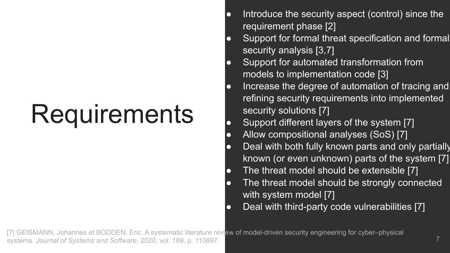### **Requirements**

- Introduce the security aspect (control) since the requirement phase [2]
- Support for formal threat specification and formal security analysis [3,7]
- Support for automated transformation from models to implementation code [3]
- Increase the degree of automation of tracing and refining security requirements into implemented security solutions [7]
- Support different layers of the system [7]
- Allow compositional analyses (SoS) [7]
- Deal with both fully known parts and only partially known (or even unknown) parts of the system [7]
- The threat model should be extensible [7]
- The threat model should be strongly connected with system model [7]
- Deal with third-party code vulnerabilities [7]

[7] GEISMANN, Johannes et BODDEN, Eric. A systematic literature review of model-driven security engineering for cyber–physical systems. *Journal of Systems and Software*, 2020, vol. 169, p. 110697.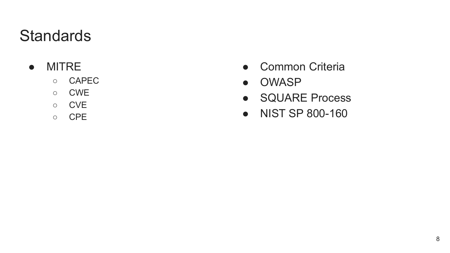#### **Standards**

- MITRE
	- CAPEC
	- CWE
	- CVE
	- CPE
- Common Criteria
- OWASP
- SQUARE Process
- NIST SP 800-160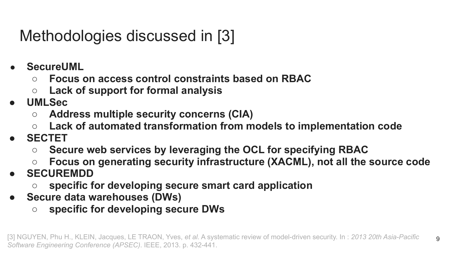### Methodologies discussed in [3]

- **SecureUML** 
	- **○ Focus on access control constraints based on RBAC**
	- **○ Lack of support for formal analysis**
- **● UMLSec** 
	- **○ Address multiple security concerns (CIA)**
	- **○ Lack of automated transformation from models to implementation code**
- **● SECTET**
	- **○ Secure web services by leveraging the OCL for specifying RBAC**
	- **○ Focus on generating security infrastructure (XACML), not all the source code**
- **● SECUREMDD**
	- **○ specific for developing secure smart card application**
- **● Secure data warehouses (DWs)**
	- **○ specific for developing secure DWs**

9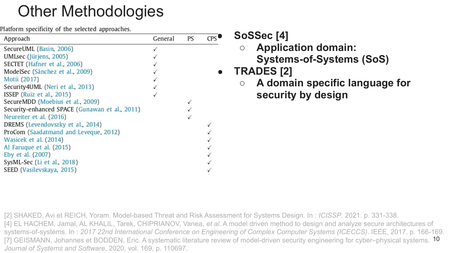#### Other Methodologies

Platform specificity of the selected approaches

| Tation in Specificity of the selected approaches.<br>CPS |         |    | SoSSec <sup>[4]</sup> |                                          |
|----------------------------------------------------------|---------|----|-----------------------|------------------------------------------|
| Approach                                                 | General | PS |                       |                                          |
| SecureUML (Basin, 2006)                                  |         |    |                       | <b>Application domain:</b><br>$\bigcirc$ |
| UMLsec (Jürjens, 2005)                                   |         |    |                       | <b>Systems-of-Systems (SoS)</b>          |
| SECTET (Hafner et al., 2006)                             |         |    |                       |                                          |
| ModelSec (Sánchez et al., 2009)                          |         |    | $\bullet$             | <b>TRADES [2]</b>                        |
| Motii (2017)                                             |         |    |                       |                                          |
| Security4UML (Neri et al., 2013)                         |         |    |                       | A domain specific language for<br>O      |
| <b>ISSEP</b> (Ruiz et al., 2015)                         |         |    |                       | security by design                       |
| SecureMDD (Moebius et al., 2009)                         |         |    |                       |                                          |
| Security-enhanced SPACE (Gunawan et al., 2011)           |         |    |                       |                                          |
| Neureiter et al. (2016)                                  |         |    |                       |                                          |
| DREMS (Levendovszky et al., 2014)                        |         |    |                       |                                          |
| ProCom (Saadatmand and Leveque, 2012)                    |         |    |                       |                                          |
| Wasicek et al. (2014)                                    |         |    |                       |                                          |
| Al Faruque et al. (2015)                                 |         |    |                       |                                          |
| Eby et al. (2007)                                        |         |    |                       |                                          |
| SysML-Sec (Li et al., 2018)                              |         |    |                       |                                          |
| SEED (Vasilevskaya, 2015)                                |         |    |                       |                                          |
|                                                          |         |    |                       |                                          |

[7] GEISMANN, Johannes et BODDEN, Eric. A systematic literature review of model-driven security engineering for cyber–physical systems. 10 [2] SHAKED, Avi et REICH, Yoram. Model-based Threat and Risk Assessment for Systems Design. In : *ICISSP*. 2021. p. 331-338. [4] EL HACHEM, Jamal, AL KHALIL, Tarek, CHIPRIANOV, Vanea, *et al.* A model driven method to design and analyze secure architectures of systems-of-systems. In : *2017 22nd International Conference on Engineering of Complex Computer Systems (ICECCS)*. IEEE, 2017. p. 166-169. *Journal of Systems and Software*, 2020, vol. 169, p. 110697.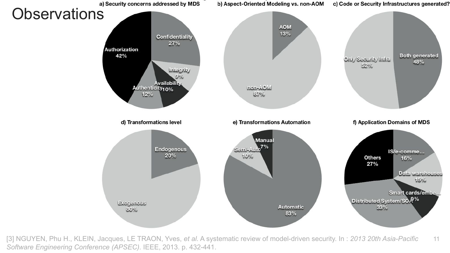

[3] NGUYEN, Phu H., KLEIN, Jacques, LE TRAON, Yves, *et al.* A systematic review of model-driven security. In : *2013 20th Asia-Pacific* 11 *Software Engineering Conference (APSEC)*. IEEE, 2013. p. 432-441.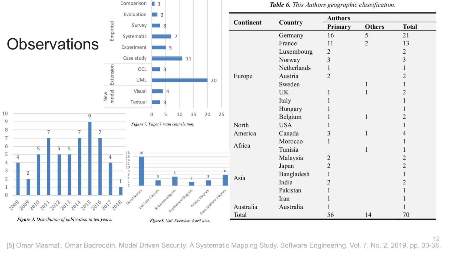

[5] Omar Masmali, Omar Badreddin. Model Driven Security: A Systematic Mapping Study. Software Engineering. Vol. 7, No. 2, 2019, pp. 30-38.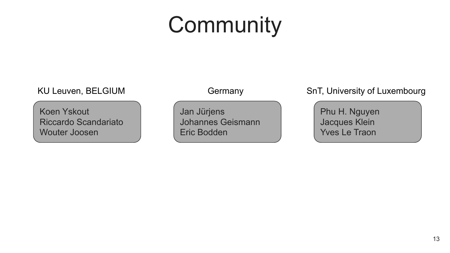### **Community**

Koen Yskout Riccardo Scandariato Wouter Joosen

Jan Jürjens Johannes Geismann Eric Bodden

KU Leuven, BELGIUM Germany SnT, University of Luxembourg

Phu H. Nguyen Jacques Klein Yves Le Traon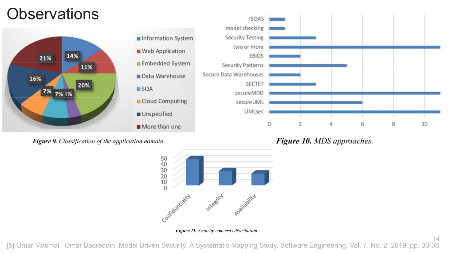#### **Observations**





Figure 9. Classification of the application domain.



14



Figure 11. Security concerns distribution.

[5] Omar Masmali, Omar Badreddin. Model Driven Security: A Systematic Mapping Study. Software Engineering. Vol. 7, No. 2, 2019, pp. 30-38.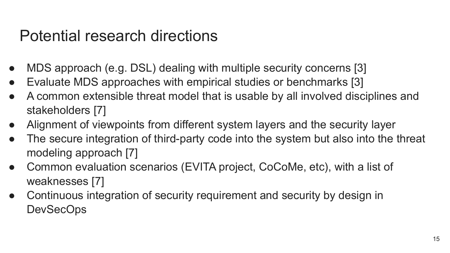#### Potential research directions

- MDS approach (e.g. DSL) dealing with multiple security concerns [3]
- Evaluate MDS approaches with empirical studies or benchmarks [3]
- A common extensible threat model that is usable by all involved disciplines and stakeholders [7]
- Alignment of viewpoints from different system layers and the security layer
- The secure integration of third-party code into the system but also into the threat modeling approach [7]
- Common evaluation scenarios (EVITA project, CoCoMe, etc), with a list of weaknesses [7]
- Continuous integration of security requirement and security by design in DevSecOps